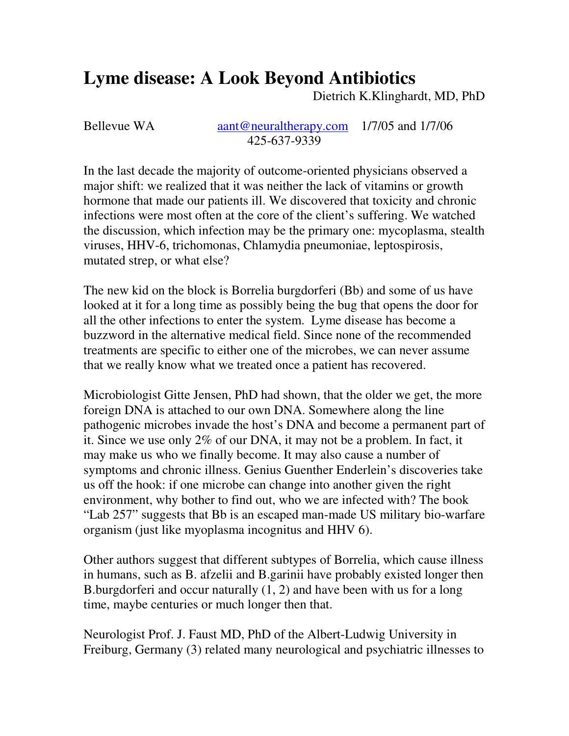# **Lyme disease: A Look Beyond Antibiotics**

Dietrich K.Klinghardt, MD, PhD

Bellevue WA aant@neuraltherapy.com 1/7/05 and 1/7/06 425-637-9339

In the last decade the majority of outcome-oriented physicians observed a major shift: we realized that it was neither the lack of vitamins or growth hormone that made our patients ill. We discovered that toxicity and chronic infections were most often at the core of the client's suffering. We watched the discussion, which infection may be the primary one: mycoplasma, stealth viruses, HHV-6, trichomonas, Chlamydia pneumoniae, leptospirosis, mutated strep, or what else?

The new kid on the block is Borrelia burgdorferi (Bb) and some of us have looked at it for a long time as possibly being the bug that opens the door for all the other infections to enter the system. Lyme disease has become a buzzword in the alternative medical field. Since none of the recommended treatments are specific to either one of the microbes, we can never assume that we really know what we treated once a patient has recovered.

Microbiologist Gitte Jensen, PhD had shown, that the older we get, the more foreign DNA is attached to our own DNA. Somewhere along the line pathogenic microbes invade the host's DNA and become a permanent part of it. Since we use only 2% of our DNA, it may not be a problem. In fact, it may make us who we finally become. It may also cause a number of symptoms and chronic illness. Genius Guenther Enderlein's discoveries take us off the hook: if one microbe can change into another given the right environment, why bother to find out, who we are infected with? The book "Lab 257" suggests that Bb is an escaped man-made US military bio-warfare organism (just like myoplasma incognitus and HHV 6).

Other authors suggest that different subtypes of Borrelia, which cause illness in humans, such as B. afzelii and B.garinii have probably existed longer then B.burgdorferi and occur naturally (1, 2) and have been with us for a long time, maybe centuries or much longer then that.

Neurologist Prof. J. Faust MD, PhD of the Albert-Ludwig University in Freiburg, Germany (3) related many neurological and psychiatric illnesses to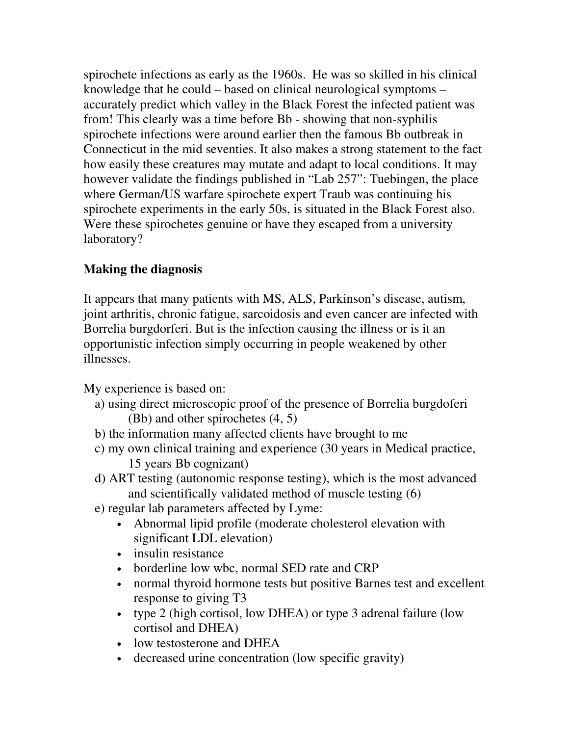spirochete infections as early as the 1960s. He was so skilled in his clinical knowledge that he could – based on clinical neurological symptoms – accurately predict which valley in the Black Forest the infected patient was from! This clearly was a time before Bb - showing that non-syphilis spirochete infections were around earlier then the famous Bb outbreak in Connecticut in the mid seventies. It also makes a strong statement to the fact how easily these creatures may mutate and adapt to local conditions. It may however validate the findings published in "Lab 257": Tuebingen, the place where German/US warfare spirochete expert Traub was continuing his spirochete experiments in the early 50s, is situated in the Black Forest also. Were these spirochetes genuine or have they escaped from a university laboratory?

# **Making the diagnosis**

It appears that many patients with MS, ALS, Parkinson's disease, autism, joint arthritis, chronic fatigue, sarcoidosis and even cancer are infected with Borrelia burgdorferi. But is the infection causing the illness or is it an opportunistic infection simply occurring in people weakened by other illnesses.

My experience is based on:

- a) using direct microscopic proof of the presence of Borrelia burgdoferi (Bb) and other spirochetes (4, 5)
- b) the information many affected clients have brought to me
- c) my own clinical training and experience (30 years in Medical practice, 15 years Bb cognizant)
- d) ART testing (autonomic response testing), which is the most advanced and scientifically validated method of muscle testing (6)
- e) regular lab parameters affected by Lyme:
	- Abnormal lipid profile (moderate cholesterol elevation with significant LDL elevation)
	- insulin resistance
	- borderline low wbc, normal SED rate and CRP
	- normal thyroid hormone tests but positive Barnes test and excellent response to giving T3
	- type 2 (high cortisol, low DHEA) or type 3 adrenal failure (low cortisol and DHEA)
	- low testosterone and DHEA
	- decreased urine concentration (low specific gravity)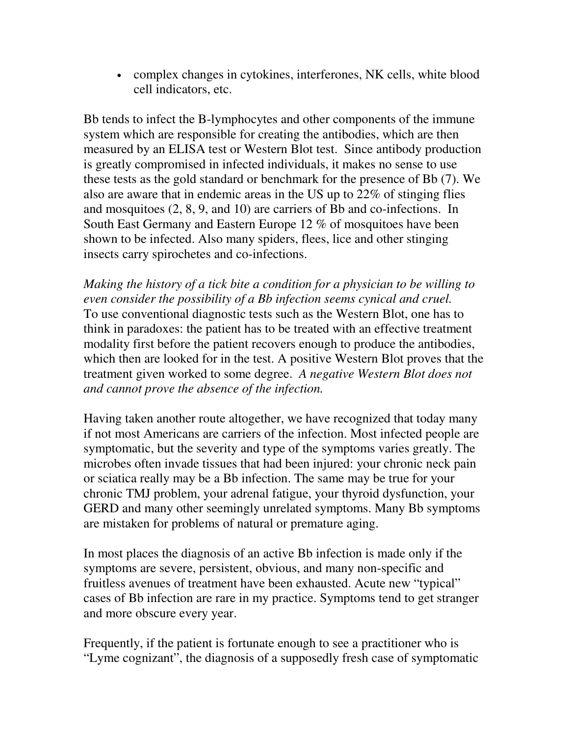• complex changes in cytokines, interferones, NK cells, white blood cell indicators, etc.

Bb tends to infect the B-lymphocytes and other components of the immune system which are responsible for creating the antibodies, which are then measured by an ELISA test or Western Blot test. Since antibody production is greatly compromised in infected individuals, it makes no sense to use these tests as the gold standard or benchmark for the presence of Bb (7). We also are aware that in endemic areas in the US up to 22% of stinging flies and mosquitoes (2, 8, 9, and 10) are carriers of Bb and co-infections. In South East Germany and Eastern Europe 12 % of mosquitoes have been shown to be infected. Also many spiders, flees, lice and other stinging insects carry spirochetes and co-infections.

*Making the history of a tick bite a condition for a physician to be willing to even consider the possibility of a Bb infection seems cynical and cruel.*  To use conventional diagnostic tests such as the Western Blot, one has to think in paradoxes: the patient has to be treated with an effective treatment modality first before the patient recovers enough to produce the antibodies, which then are looked for in the test. A positive Western Blot proves that the treatment given worked to some degree. *A negative Western Blot does not and cannot prove the absence of the infection.* 

Having taken another route altogether, we have recognized that today many if not most Americans are carriers of the infection. Most infected people are symptomatic, but the severity and type of the symptoms varies greatly. The microbes often invade tissues that had been injured: your chronic neck pain or sciatica really may be a Bb infection. The same may be true for your chronic TMJ problem, your adrenal fatigue, your thyroid dysfunction, your GERD and many other seemingly unrelated symptoms. Many Bb symptoms are mistaken for problems of natural or premature aging.

In most places the diagnosis of an active Bb infection is made only if the symptoms are severe, persistent, obvious, and many non-specific and fruitless avenues of treatment have been exhausted. Acute new "typical" cases of Bb infection are rare in my practice. Symptoms tend to get stranger and more obscure every year.

Frequently, if the patient is fortunate enough to see a practitioner who is "Lyme cognizant", the diagnosis of a supposedly fresh case of symptomatic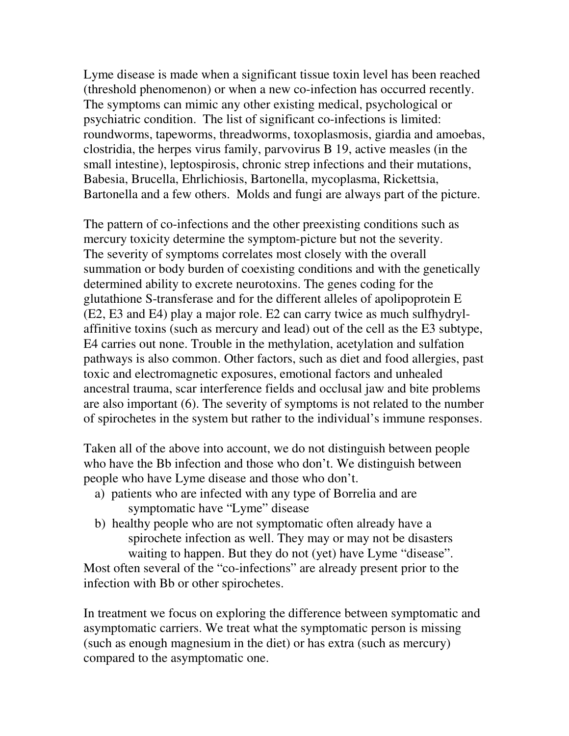Lyme disease is made when a significant tissue toxin level has been reached (threshold phenomenon) or when a new co-infection has occurred recently. The symptoms can mimic any other existing medical, psychological or psychiatric condition. The list of significant co-infections is limited: roundworms, tapeworms, threadworms, toxoplasmosis, giardia and amoebas, clostridia, the herpes virus family, parvovirus B 19, active measles (in the small intestine), leptospirosis, chronic strep infections and their mutations, Babesia, Brucella, Ehrlichiosis, Bartonella, mycoplasma, Rickettsia, Bartonella and a few others. Molds and fungi are always part of the picture.

The pattern of co-infections and the other preexisting conditions such as mercury toxicity determine the symptom-picture but not the severity. The severity of symptoms correlates most closely with the overall summation or body burden of coexisting conditions and with the genetically determined ability to excrete neurotoxins. The genes coding for the glutathione S-transferase and for the different alleles of apolipoprotein E (E2, E3 and E4) play a major role. E2 can carry twice as much sulfhydrylaffinitive toxins (such as mercury and lead) out of the cell as the E3 subtype, E4 carries out none. Trouble in the methylation, acetylation and sulfation pathways is also common. Other factors, such as diet and food allergies, past toxic and electromagnetic exposures, emotional factors and unhealed ancestral trauma, scar interference fields and occlusal jaw and bite problems are also important (6). The severity of symptoms is not related to the number of spirochetes in the system but rather to the individual's immune responses.

Taken all of the above into account, we do not distinguish between people who have the Bb infection and those who don't. We distinguish between people who have Lyme disease and those who don't.

- a) patients who are infected with any type of Borrelia and are symptomatic have "Lyme" disease
- b) healthy people who are not symptomatic often already have a spirochete infection as well. They may or may not be disasters waiting to happen. But they do not (yet) have Lyme "disease".

Most often several of the "co-infections" are already present prior to the infection with Bb or other spirochetes.

In treatment we focus on exploring the difference between symptomatic and asymptomatic carriers. We treat what the symptomatic person is missing (such as enough magnesium in the diet) or has extra (such as mercury) compared to the asymptomatic one.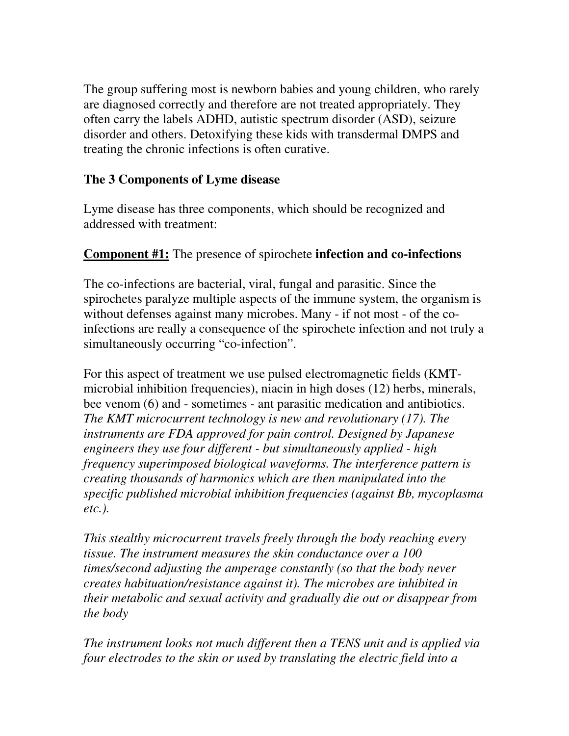The group suffering most is newborn babies and young children, who rarely are diagnosed correctly and therefore are not treated appropriately. They often carry the labels ADHD, autistic spectrum disorder (ASD), seizure disorder and others. Detoxifying these kids with transdermal DMPS and treating the chronic infections is often curative.

# **The 3 Components of Lyme disease**

Lyme disease has three components, which should be recognized and addressed with treatment:

# **Component #1:** The presence of spirochete **infection and co-infections**

The co-infections are bacterial, viral, fungal and parasitic. Since the spirochetes paralyze multiple aspects of the immune system, the organism is without defenses against many microbes. Many - if not most - of the coinfections are really a consequence of the spirochete infection and not truly a simultaneously occurring "co-infection".

For this aspect of treatment we use pulsed electromagnetic fields (KMTmicrobial inhibition frequencies), niacin in high doses (12) herbs, minerals, bee venom (6) and - sometimes - ant parasitic medication and antibiotics. *The KMT microcurrent technology is new and revolutionary (17). The instruments are FDA approved for pain control. Designed by Japanese engineers they use four different - but simultaneously applied - high frequency superimposed biological waveforms. The interference pattern is creating thousands of harmonics which are then manipulated into the specific published microbial inhibition frequencies (against Bb, mycoplasma etc.).* 

*This stealthy microcurrent travels freely through the body reaching every tissue. The instrument measures the skin conductance over a 100 times/second adjusting the amperage constantly (so that the body never creates habituation/resistance against it). The microbes are inhibited in their metabolic and sexual activity and gradually die out or disappear from the body* 

*The instrument looks not much different then a TENS unit and is applied via four electrodes to the skin or used by translating the electric field into a*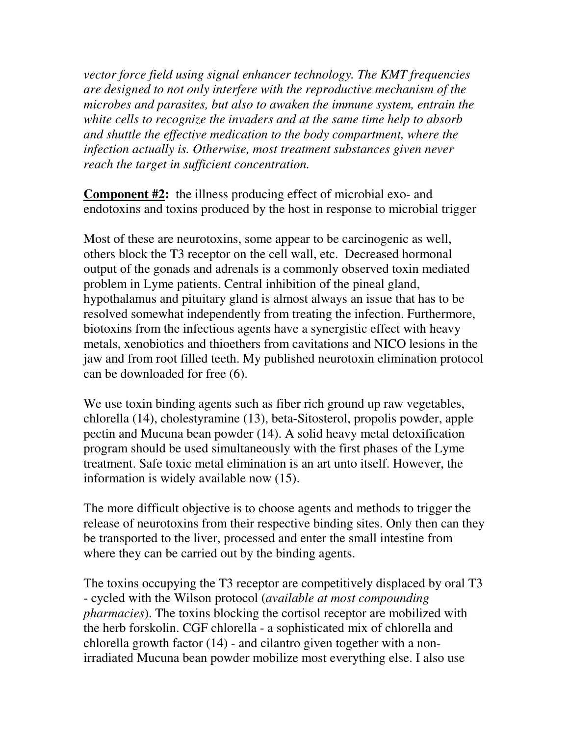*vector force field using signal enhancer technology. The KMT frequencies are designed to not only interfere with the reproductive mechanism of the microbes and parasites, but also to awaken the immune system, entrain the white cells to recognize the invaders and at the same time help to absorb and shuttle the effective medication to the body compartment, where the infection actually is. Otherwise, most treatment substances given never reach the target in sufficient concentration.* 

**Component #2:** the illness producing effect of microbial exo- and endotoxins and toxins produced by the host in response to microbial trigger

Most of these are neurotoxins, some appear to be carcinogenic as well, others block the T3 receptor on the cell wall, etc. Decreased hormonal output of the gonads and adrenals is a commonly observed toxin mediated problem in Lyme patients. Central inhibition of the pineal gland, hypothalamus and pituitary gland is almost always an issue that has to be resolved somewhat independently from treating the infection. Furthermore, biotoxins from the infectious agents have a synergistic effect with heavy metals, xenobiotics and thioethers from cavitations and NICO lesions in the jaw and from root filled teeth. My published neurotoxin elimination protocol can be downloaded for free (6).

We use toxin binding agents such as fiber rich ground up raw vegetables, chlorella (14), cholestyramine (13), beta-Sitosterol, propolis powder, apple pectin and Mucuna bean powder (14). A solid heavy metal detoxification program should be used simultaneously with the first phases of the Lyme treatment. Safe toxic metal elimination is an art unto itself. However, the information is widely available now (15).

The more difficult objective is to choose agents and methods to trigger the release of neurotoxins from their respective binding sites. Only then can they be transported to the liver, processed and enter the small intestine from where they can be carried out by the binding agents.

The toxins occupying the T3 receptor are competitively displaced by oral T3 - cycled with the Wilson protocol (*available at most compounding pharmacies*). The toxins blocking the cortisol receptor are mobilized with the herb forskolin. CGF chlorella - a sophisticated mix of chlorella and chlorella growth factor (14) - and cilantro given together with a nonirradiated Mucuna bean powder mobilize most everything else. I also use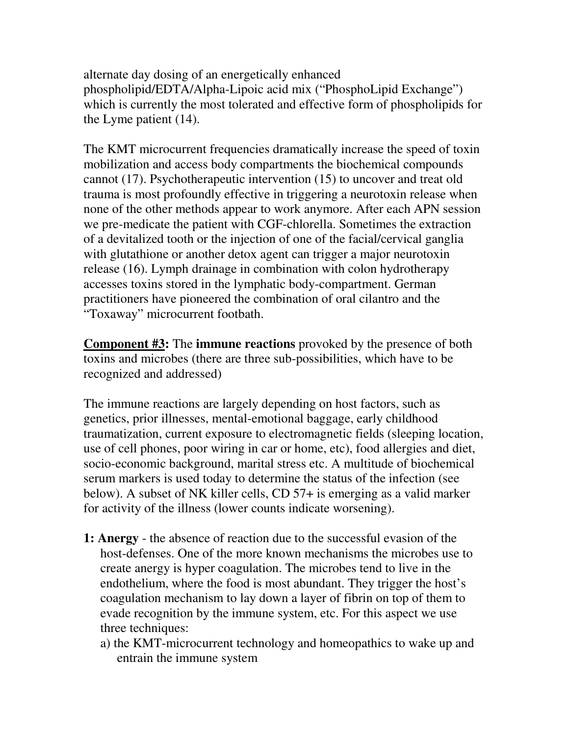alternate day dosing of an energetically enhanced phospholipid/EDTA/Alpha-Lipoic acid mix ("PhosphoLipid Exchange") which is currently the most tolerated and effective form of phospholipids for the Lyme patient (14).

The KMT microcurrent frequencies dramatically increase the speed of toxin mobilization and access body compartments the biochemical compounds cannot (17). Psychotherapeutic intervention (15) to uncover and treat old trauma is most profoundly effective in triggering a neurotoxin release when none of the other methods appear to work anymore. After each APN session we pre-medicate the patient with CGF-chlorella. Sometimes the extraction of a devitalized tooth or the injection of one of the facial/cervical ganglia with glutathione or another detox agent can trigger a major neurotoxin release (16). Lymph drainage in combination with colon hydrotherapy accesses toxins stored in the lymphatic body-compartment. German practitioners have pioneered the combination of oral cilantro and the "Toxaway" microcurrent footbath.

**Component #3:** The **immune reactions** provoked by the presence of both toxins and microbes (there are three sub-possibilities, which have to be recognized and addressed)

The immune reactions are largely depending on host factors, such as genetics, prior illnesses, mental-emotional baggage, early childhood traumatization, current exposure to electromagnetic fields (sleeping location, use of cell phones, poor wiring in car or home, etc), food allergies and diet, socio-economic background, marital stress etc. A multitude of biochemical serum markers is used today to determine the status of the infection (see below). A subset of NK killer cells, CD 57+ is emerging as a valid marker for activity of the illness (lower counts indicate worsening).

- **1: Anergy** the absence of reaction due to the successful evasion of the host-defenses. One of the more known mechanisms the microbes use to create anergy is hyper coagulation. The microbes tend to live in the endothelium, where the food is most abundant. They trigger the host's coagulation mechanism to lay down a layer of fibrin on top of them to evade recognition by the immune system, etc. For this aspect we use three techniques:
	- a) the KMT-microcurrent technology and homeopathics to wake up and entrain the immune system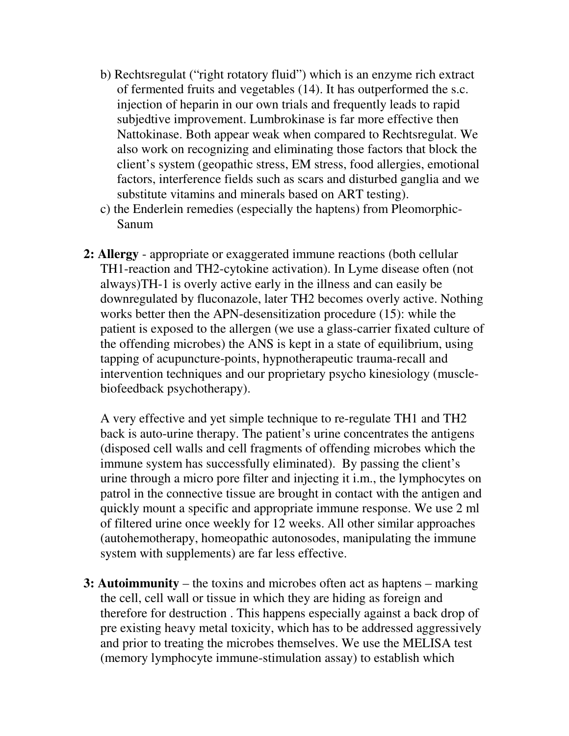- b) Rechtsregulat ("right rotatory fluid") which is an enzyme rich extract of fermented fruits and vegetables (14). It has outperformed the s.c. injection of heparin in our own trials and frequently leads to rapid subjedtive improvement. Lumbrokinase is far more effective then Nattokinase. Both appear weak when compared to Rechtsregulat. We also work on recognizing and eliminating those factors that block the client's system (geopathic stress, EM stress, food allergies, emotional factors, interference fields such as scars and disturbed ganglia and we substitute vitamins and minerals based on ART testing).
- c) the Enderlein remedies (especially the haptens) from Pleomorphic-Sanum
- **2: Allergy** appropriate or exaggerated immune reactions (both cellular TH1-reaction and TH2-cytokine activation). In Lyme disease often (not always)TH-1 is overly active early in the illness and can easily be downregulated by fluconazole, later TH2 becomes overly active. Nothing works better then the APN-desensitization procedure (15): while the patient is exposed to the allergen (we use a glass-carrier fixated culture of the offending microbes) the ANS is kept in a state of equilibrium, using tapping of acupuncture-points, hypnotherapeutic trauma-recall and intervention techniques and our proprietary psycho kinesiology (musclebiofeedback psychotherapy).

 A very effective and yet simple technique to re-regulate TH1 and TH2 back is auto-urine therapy. The patient's urine concentrates the antigens (disposed cell walls and cell fragments of offending microbes which the immune system has successfully eliminated). By passing the client's urine through a micro pore filter and injecting it i.m., the lymphocytes on patrol in the connective tissue are brought in contact with the antigen and quickly mount a specific and appropriate immune response. We use 2 ml of filtered urine once weekly for 12 weeks. All other similar approaches (autohemotherapy, homeopathic autonosodes, manipulating the immune system with supplements) are far less effective.

**3: Autoimmunity** – the toxins and microbes often act as haptens – marking the cell, cell wall or tissue in which they are hiding as foreign and therefore for destruction . This happens especially against a back drop of pre existing heavy metal toxicity, which has to be addressed aggressively and prior to treating the microbes themselves. We use the MELISA test (memory lymphocyte immune-stimulation assay) to establish which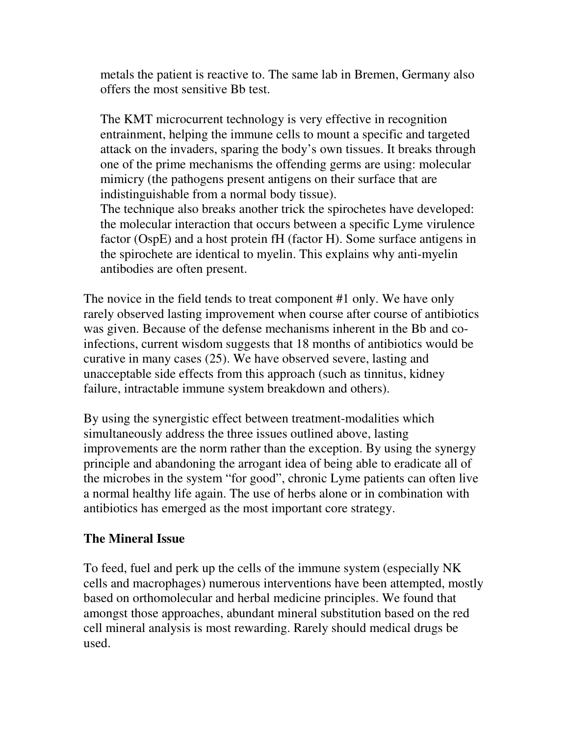metals the patient is reactive to. The same lab in Bremen, Germany also offers the most sensitive Bb test.

The KMT microcurrent technology is very effective in recognition entrainment, helping the immune cells to mount a specific and targeted attack on the invaders, sparing the body's own tissues. It breaks through one of the prime mechanisms the offending germs are using: molecular mimicry (the pathogens present antigens on their surface that are indistinguishable from a normal body tissue).

 The technique also breaks another trick the spirochetes have developed: the molecular interaction that occurs between a specific Lyme virulence factor (OspE) and a host protein fH (factor H). Some surface antigens in the spirochete are identical to myelin. This explains why anti-myelin antibodies are often present.

The novice in the field tends to treat component #1 only. We have only rarely observed lasting improvement when course after course of antibiotics was given. Because of the defense mechanisms inherent in the Bb and coinfections, current wisdom suggests that 18 months of antibiotics would be curative in many cases (25). We have observed severe, lasting and unacceptable side effects from this approach (such as tinnitus, kidney failure, intractable immune system breakdown and others).

By using the synergistic effect between treatment-modalities which simultaneously address the three issues outlined above, lasting improvements are the norm rather than the exception. By using the synergy principle and abandoning the arrogant idea of being able to eradicate all of the microbes in the system "for good", chronic Lyme patients can often live a normal healthy life again. The use of herbs alone or in combination with antibiotics has emerged as the most important core strategy.

# **The Mineral Issue**

To feed, fuel and perk up the cells of the immune system (especially NK cells and macrophages) numerous interventions have been attempted, mostly based on orthomolecular and herbal medicine principles. We found that amongst those approaches, abundant mineral substitution based on the red cell mineral analysis is most rewarding. Rarely should medical drugs be used.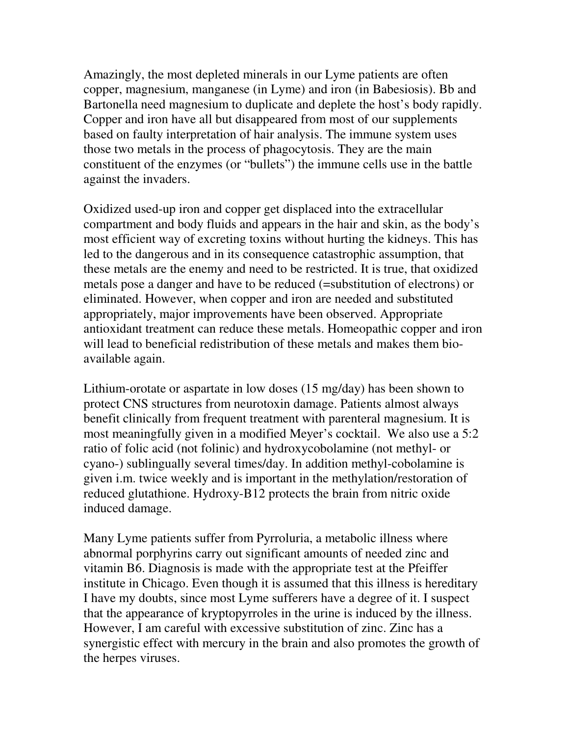Amazingly, the most depleted minerals in our Lyme patients are often copper, magnesium, manganese (in Lyme) and iron (in Babesiosis). Bb and Bartonella need magnesium to duplicate and deplete the host's body rapidly. Copper and iron have all but disappeared from most of our supplements based on faulty interpretation of hair analysis. The immune system uses those two metals in the process of phagocytosis. They are the main constituent of the enzymes (or "bullets") the immune cells use in the battle against the invaders.

Oxidized used-up iron and copper get displaced into the extracellular compartment and body fluids and appears in the hair and skin, as the body's most efficient way of excreting toxins without hurting the kidneys. This has led to the dangerous and in its consequence catastrophic assumption, that these metals are the enemy and need to be restricted. It is true, that oxidized metals pose a danger and have to be reduced (=substitution of electrons) or eliminated. However, when copper and iron are needed and substituted appropriately, major improvements have been observed. Appropriate antioxidant treatment can reduce these metals. Homeopathic copper and iron will lead to beneficial redistribution of these metals and makes them bioavailable again.

Lithium-orotate or aspartate in low doses (15 mg/day) has been shown to protect CNS structures from neurotoxin damage. Patients almost always benefit clinically from frequent treatment with parenteral magnesium. It is most meaningfully given in a modified Meyer's cocktail. We also use a 5:2 ratio of folic acid (not folinic) and hydroxycobolamine (not methyl- or cyano-) sublingually several times/day. In addition methyl-cobolamine is given i.m. twice weekly and is important in the methylation/restoration of reduced glutathione. Hydroxy-B12 protects the brain from nitric oxide induced damage.

Many Lyme patients suffer from Pyrroluria, a metabolic illness where abnormal porphyrins carry out significant amounts of needed zinc and vitamin B6. Diagnosis is made with the appropriate test at the Pfeiffer institute in Chicago. Even though it is assumed that this illness is hereditary I have my doubts, since most Lyme sufferers have a degree of it. I suspect that the appearance of kryptopyrroles in the urine is induced by the illness. However, I am careful with excessive substitution of zinc. Zinc has a synergistic effect with mercury in the brain and also promotes the growth of the herpes viruses.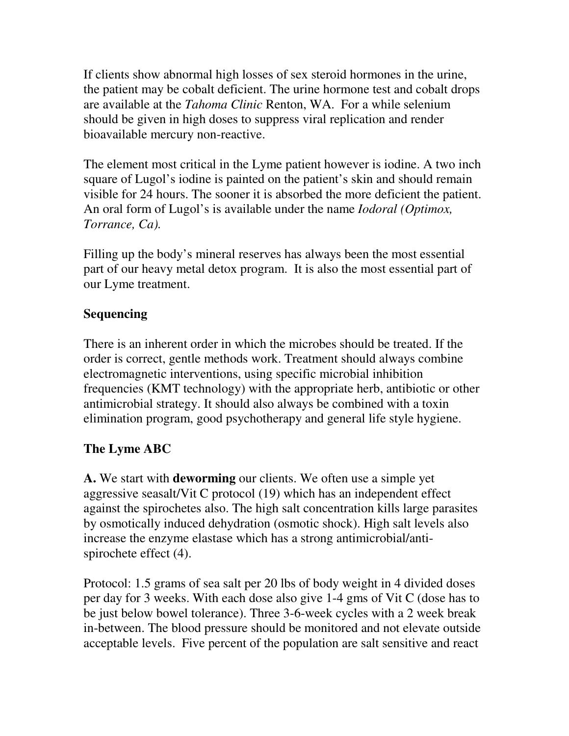If clients show abnormal high losses of sex steroid hormones in the urine, the patient may be cobalt deficient. The urine hormone test and cobalt drops are available at the *Tahoma Clinic* Renton, WA. For a while selenium should be given in high doses to suppress viral replication and render bioavailable mercury non-reactive.

The element most critical in the Lyme patient however is iodine. A two inch square of Lugol's iodine is painted on the patient's skin and should remain visible for 24 hours. The sooner it is absorbed the more deficient the patient. An oral form of Lugol's is available under the name *Iodoral (Optimox, Torrance, Ca).* 

Filling up the body's mineral reserves has always been the most essential part of our heavy metal detox program. It is also the most essential part of our Lyme treatment.

# **Sequencing**

There is an inherent order in which the microbes should be treated. If the order is correct, gentle methods work. Treatment should always combine electromagnetic interventions, using specific microbial inhibition frequencies (KMT technology) with the appropriate herb, antibiotic or other antimicrobial strategy. It should also always be combined with a toxin elimination program, good psychotherapy and general life style hygiene.

# **The Lyme ABC**

**A.** We start with **deworming** our clients. We often use a simple yet aggressive seasalt/Vit C protocol (19) which has an independent effect against the spirochetes also. The high salt concentration kills large parasites by osmotically induced dehydration (osmotic shock). High salt levels also increase the enzyme elastase which has a strong antimicrobial/antispirochete effect (4).

Protocol: 1.5 grams of sea salt per 20 lbs of body weight in 4 divided doses per day for 3 weeks. With each dose also give 1-4 gms of Vit C (dose has to be just below bowel tolerance). Three 3-6-week cycles with a 2 week break in-between. The blood pressure should be monitored and not elevate outside acceptable levels. Five percent of the population are salt sensitive and react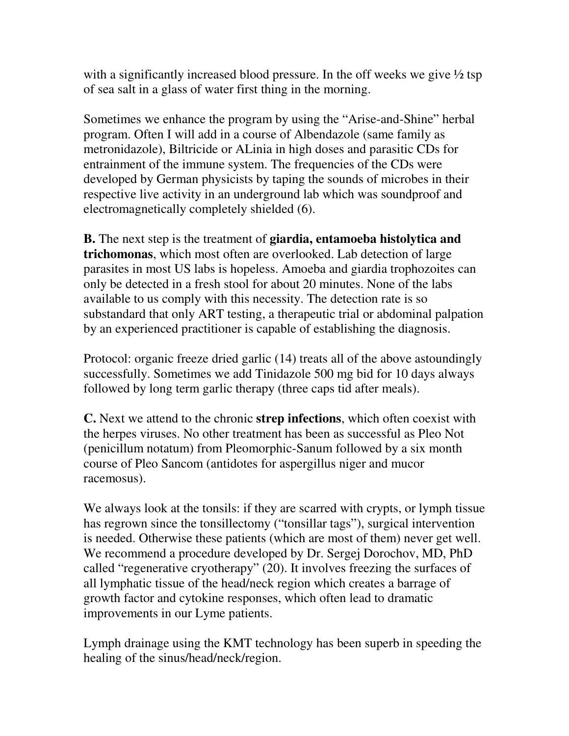with a significantly increased blood pressure. In the off weeks we give  $\frac{1}{2}$  tsp of sea salt in a glass of water first thing in the morning.

Sometimes we enhance the program by using the "Arise-and-Shine" herbal program. Often I will add in a course of Albendazole (same family as metronidazole), Biltricide or ALinia in high doses and parasitic CDs for entrainment of the immune system. The frequencies of the CDs were developed by German physicists by taping the sounds of microbes in their respective live activity in an underground lab which was soundproof and electromagnetically completely shielded (6).

**B.** The next step is the treatment of **giardia, entamoeba histolytica and trichomonas**, which most often are overlooked. Lab detection of large parasites in most US labs is hopeless. Amoeba and giardia trophozoites can only be detected in a fresh stool for about 20 minutes. None of the labs available to us comply with this necessity. The detection rate is so substandard that only ART testing, a therapeutic trial or abdominal palpation by an experienced practitioner is capable of establishing the diagnosis.

Protocol: organic freeze dried garlic (14) treats all of the above astoundingly successfully. Sometimes we add Tinidazole 500 mg bid for 10 days always followed by long term garlic therapy (three caps tid after meals).

**C.** Next we attend to the chronic **strep infections**, which often coexist with the herpes viruses. No other treatment has been as successful as Pleo Not (penicillum notatum) from Pleomorphic-Sanum followed by a six month course of Pleo Sancom (antidotes for aspergillus niger and mucor racemosus).

We always look at the tonsils: if they are scarred with crypts, or lymph tissue has regrown since the tonsillectomy ("tonsillar tags"), surgical intervention is needed. Otherwise these patients (which are most of them) never get well. We recommend a procedure developed by Dr. Sergej Dorochov, MD, PhD called "regenerative cryotherapy" (20). It involves freezing the surfaces of all lymphatic tissue of the head/neck region which creates a barrage of growth factor and cytokine responses, which often lead to dramatic improvements in our Lyme patients.

Lymph drainage using the KMT technology has been superb in speeding the healing of the sinus/head/neck/region.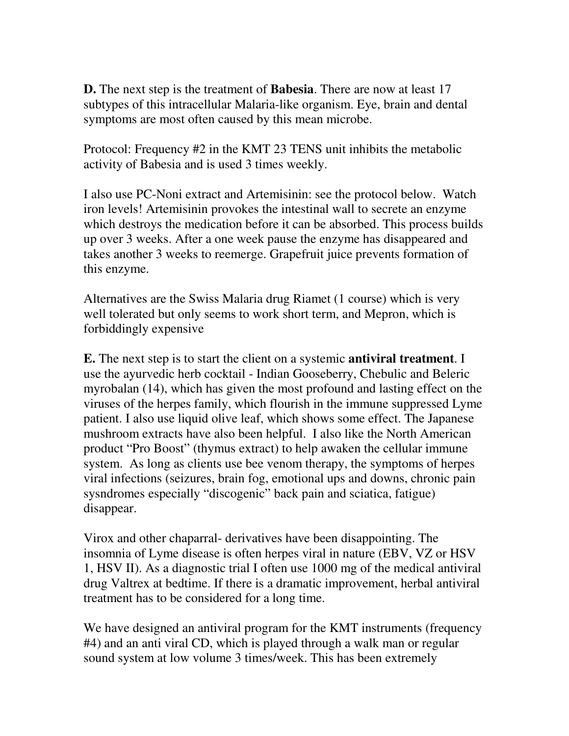**D.** The next step is the treatment of **Babesia**. There are now at least 17 subtypes of this intracellular Malaria-like organism. Eye, brain and dental symptoms are most often caused by this mean microbe.

Protocol: Frequency #2 in the KMT 23 TENS unit inhibits the metabolic activity of Babesia and is used 3 times weekly.

I also use PC-Noni extract and Artemisinin: see the protocol below. Watch iron levels! Artemisinin provokes the intestinal wall to secrete an enzyme which destroys the medication before it can be absorbed. This process builds up over 3 weeks. After a one week pause the enzyme has disappeared and takes another 3 weeks to reemerge. Grapefruit juice prevents formation of this enzyme.

Alternatives are the Swiss Malaria drug Riamet (1 course) which is very well tolerated but only seems to work short term, and Mepron, which is forbiddingly expensive

**E.** The next step is to start the client on a systemic **antiviral treatment**. I use the ayurvedic herb cocktail - Indian Gooseberry, Chebulic and Beleric myrobalan (14), which has given the most profound and lasting effect on the viruses of the herpes family, which flourish in the immune suppressed Lyme patient. I also use liquid olive leaf, which shows some effect. The Japanese mushroom extracts have also been helpful. I also like the North American product "Pro Boost" (thymus extract) to help awaken the cellular immune system. As long as clients use bee venom therapy, the symptoms of herpes viral infections (seizures, brain fog, emotional ups and downs, chronic pain sysndromes especially "discogenic" back pain and sciatica, fatigue) disappear.

Virox and other chaparral- derivatives have been disappointing. The insomnia of Lyme disease is often herpes viral in nature (EBV, VZ or HSV 1, HSV II). As a diagnostic trial I often use 1000 mg of the medical antiviral drug Valtrex at bedtime. If there is a dramatic improvement, herbal antiviral treatment has to be considered for a long time.

We have designed an antiviral program for the KMT instruments (frequency #4) and an anti viral CD, which is played through a walk man or regular sound system at low volume 3 times/week. This has been extremely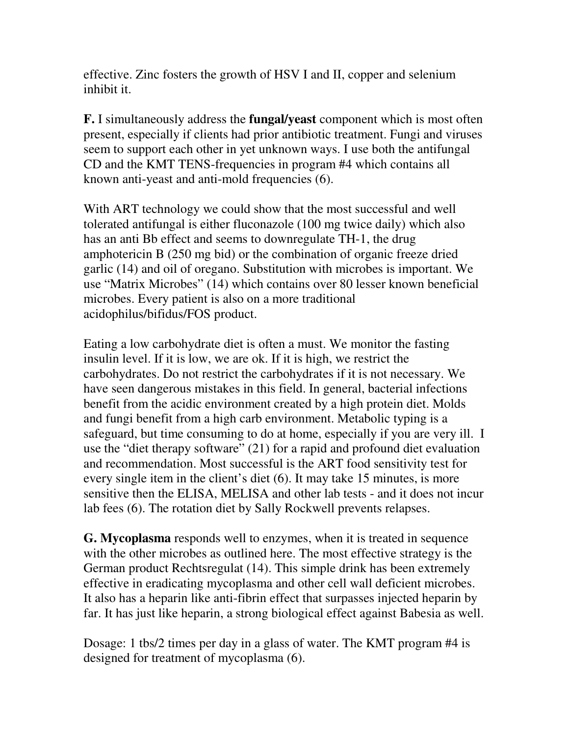effective. Zinc fosters the growth of HSV I and II, copper and selenium inhibit it.

**F.** I simultaneously address the **fungal/yeast** component which is most often present, especially if clients had prior antibiotic treatment. Fungi and viruses seem to support each other in yet unknown ways. I use both the antifungal CD and the KMT TENS-frequencies in program #4 which contains all known anti-yeast and anti-mold frequencies (6).

With ART technology we could show that the most successful and well tolerated antifungal is either fluconazole (100 mg twice daily) which also has an anti Bb effect and seems to downregulate TH-1, the drug amphotericin B (250 mg bid) or the combination of organic freeze dried garlic (14) and oil of oregano. Substitution with microbes is important. We use "Matrix Microbes" (14) which contains over 80 lesser known beneficial microbes. Every patient is also on a more traditional acidophilus/bifidus/FOS product.

Eating a low carbohydrate diet is often a must. We monitor the fasting insulin level. If it is low, we are ok. If it is high, we restrict the carbohydrates. Do not restrict the carbohydrates if it is not necessary. We have seen dangerous mistakes in this field. In general, bacterial infections benefit from the acidic environment created by a high protein diet. Molds and fungi benefit from a high carb environment. Metabolic typing is a safeguard, but time consuming to do at home, especially if you are very ill. I use the "diet therapy software" (21) for a rapid and profound diet evaluation and recommendation. Most successful is the ART food sensitivity test for every single item in the client's diet (6). It may take 15 minutes, is more sensitive then the ELISA, MELISA and other lab tests - and it does not incur lab fees (6). The rotation diet by Sally Rockwell prevents relapses.

**G. Mycoplasma** responds well to enzymes, when it is treated in sequence with the other microbes as outlined here. The most effective strategy is the German product Rechtsregulat (14). This simple drink has been extremely effective in eradicating mycoplasma and other cell wall deficient microbes. It also has a heparin like anti-fibrin effect that surpasses injected heparin by far. It has just like heparin, a strong biological effect against Babesia as well.

Dosage: 1 tbs/2 times per day in a glass of water. The KMT program #4 is designed for treatment of mycoplasma (6).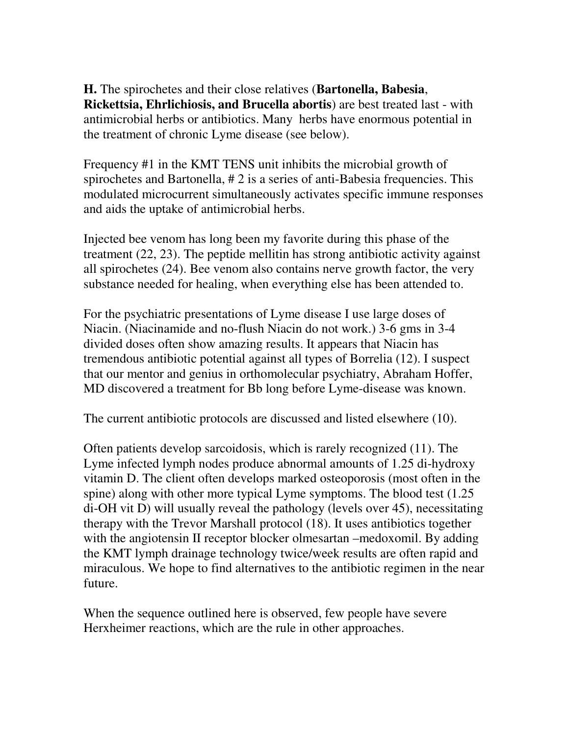**H.** The spirochetes and their close relatives (**Bartonella, Babesia**, **Rickettsia, Ehrlichiosis, and Brucella abortis**) are best treated last - with antimicrobial herbs or antibiotics. Many herbs have enormous potential in the treatment of chronic Lyme disease (see below).

Frequency #1 in the KMT TENS unit inhibits the microbial growth of spirochetes and Bartonella, # 2 is a series of anti-Babesia frequencies. This modulated microcurrent simultaneously activates specific immune responses and aids the uptake of antimicrobial herbs.

Injected bee venom has long been my favorite during this phase of the treatment (22, 23). The peptide mellitin has strong antibiotic activity against all spirochetes (24). Bee venom also contains nerve growth factor, the very substance needed for healing, when everything else has been attended to.

For the psychiatric presentations of Lyme disease I use large doses of Niacin. (Niacinamide and no-flush Niacin do not work.) 3-6 gms in 3-4 divided doses often show amazing results. It appears that Niacin has tremendous antibiotic potential against all types of Borrelia (12). I suspect that our mentor and genius in orthomolecular psychiatry, Abraham Hoffer, MD discovered a treatment for Bb long before Lyme-disease was known.

The current antibiotic protocols are discussed and listed elsewhere (10).

Often patients develop sarcoidosis, which is rarely recognized (11). The Lyme infected lymph nodes produce abnormal amounts of 1.25 di-hydroxy vitamin D. The client often develops marked osteoporosis (most often in the spine) along with other more typical Lyme symptoms. The blood test (1.25 di-OH vit D) will usually reveal the pathology (levels over 45), necessitating therapy with the Trevor Marshall protocol (18). It uses antibiotics together with the angiotensin II receptor blocker olmesartan –medoxomil. By adding the KMT lymph drainage technology twice/week results are often rapid and miraculous. We hope to find alternatives to the antibiotic regimen in the near future.

When the sequence outlined here is observed, few people have severe Herxheimer reactions, which are the rule in other approaches.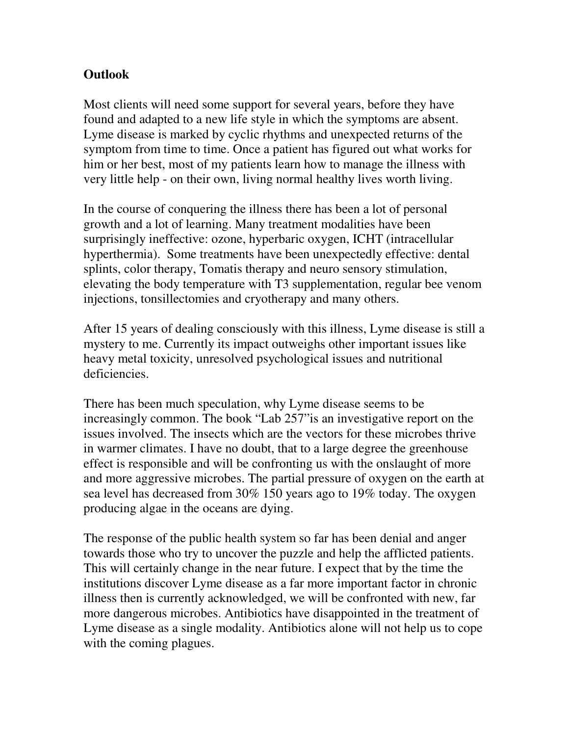# **Outlook**

Most clients will need some support for several years, before they have found and adapted to a new life style in which the symptoms are absent. Lyme disease is marked by cyclic rhythms and unexpected returns of the symptom from time to time. Once a patient has figured out what works for him or her best, most of my patients learn how to manage the illness with very little help - on their own, living normal healthy lives worth living.

In the course of conquering the illness there has been a lot of personal growth and a lot of learning. Many treatment modalities have been surprisingly ineffective: ozone, hyperbaric oxygen, ICHT (intracellular hyperthermia). Some treatments have been unexpectedly effective: dental splints, color therapy, Tomatis therapy and neuro sensory stimulation, elevating the body temperature with T3 supplementation, regular bee venom injections, tonsillectomies and cryotherapy and many others.

After 15 years of dealing consciously with this illness, Lyme disease is still a mystery to me. Currently its impact outweighs other important issues like heavy metal toxicity, unresolved psychological issues and nutritional deficiencies.

There has been much speculation, why Lyme disease seems to be increasingly common. The book "Lab 257"is an investigative report on the issues involved. The insects which are the vectors for these microbes thrive in warmer climates. I have no doubt, that to a large degree the greenhouse effect is responsible and will be confronting us with the onslaught of more and more aggressive microbes. The partial pressure of oxygen on the earth at sea level has decreased from 30% 150 years ago to 19% today. The oxygen producing algae in the oceans are dying.

The response of the public health system so far has been denial and anger towards those who try to uncover the puzzle and help the afflicted patients. This will certainly change in the near future. I expect that by the time the institutions discover Lyme disease as a far more important factor in chronic illness then is currently acknowledged, we will be confronted with new, far more dangerous microbes. Antibiotics have disappointed in the treatment of Lyme disease as a single modality. Antibiotics alone will not help us to cope with the coming plagues.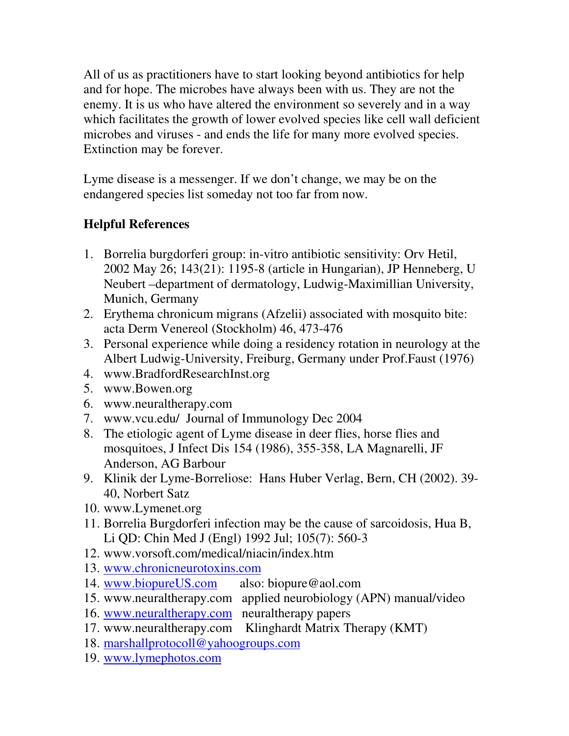All of us as practitioners have to start looking beyond antibiotics for help and for hope. The microbes have always been with us. They are not the enemy. It is us who have altered the environment so severely and in a way which facilitates the growth of lower evolved species like cell wall deficient microbes and viruses - and ends the life for many more evolved species. Extinction may be forever.

Lyme disease is a messenger. If we don't change, we may be on the endangered species list someday not too far from now.

# **Helpful References**

- 1. Borrelia burgdorferi group: in-vitro antibiotic sensitivity: Orv Hetil, 2002 May 26; 143(21): 1195-8 (article in Hungarian), JP Henneberg, U Neubert –department of dermatology, Ludwig-Maximillian University, Munich, Germany
- 2. Erythema chronicum migrans (Afzelii) associated with mosquito bite: acta Derm Venereol (Stockholm) 46, 473-476
- 3. Personal experience while doing a residency rotation in neurology at the Albert Ludwig-University, Freiburg, Germany under Prof.Faust (1976)
- 4. www.BradfordResearchInst.org
- 5. www.Bowen.org
- 6. www.neuraltherapy.com
- 7. www.vcu.edu/ Journal of Immunology Dec 2004
- 8. The etiologic agent of Lyme disease in deer flies, horse flies and mosquitoes, J Infect Dis 154 (1986), 355-358, LA Magnarelli, JF Anderson, AG Barbour
- 9. Klinik der Lyme-Borreliose: Hans Huber Verlag, Bern, CH (2002). 39- 40, Norbert Satz
- 10. www.Lymenet.org
- 11. Borrelia Burgdorferi infection may be the cause of sarcoidosis, Hua B, Li QD: Chin Med J (Engl) 1992 Jul; 105(7): 560-3
- 12. www.vorsoft.com/medical/niacin/index.htm
- 13. www.chronicneurotoxins.com
- 14. www.biopureUS.com also: biopure@aol.com
- 15. www.neuraltherapy.com applied neurobiology (APN) manual/video
- 16. www.neuraltherapy.com neuraltherapy papers
- 17. www.neuraltherapy.com Klinghardt Matrix Therapy (KMT)
- 18. marshallprotocoll@yahoogroups.com
- 19. www.lymephotos.com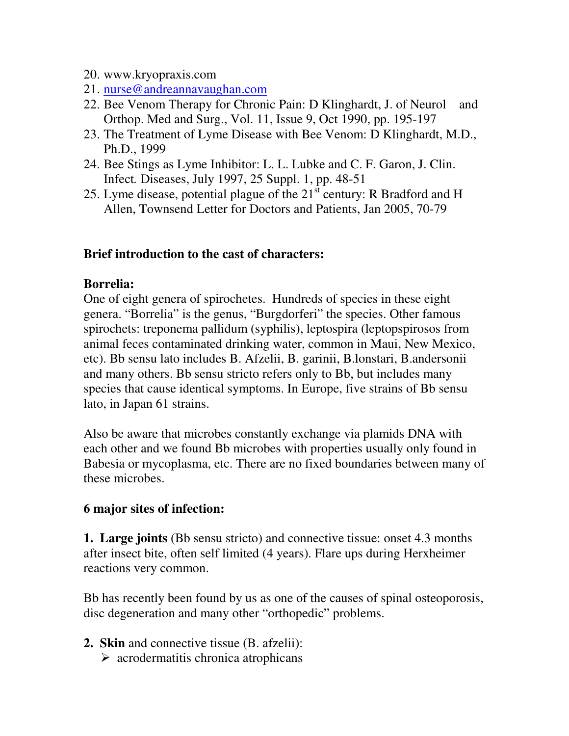- 20. www.kryopraxis.com
- 21. nurse@andreannavaughan.com
- 22. Bee Venom Therapy for Chronic Pain: D Klinghardt, J. of Neurol and Orthop. Med and Surg., Vol. 11, Issue 9, Oct 1990, pp. 195-197
- 23. The Treatment of Lyme Disease with Bee Venom: D Klinghardt, M.D., Ph.D., 1999
- 24. Bee Stings as Lyme Inhibitor: L. L. Lubke and C. F. Garon, J. Clin. Infect*.* Diseases, July 1997, 25 Suppl. 1, pp. 48-51
- 25. Lyme disease, potential plague of the  $21^{\overline{st}}$  century: R Bradford and H Allen, Townsend Letter for Doctors and Patients, Jan 2005, 70-79

### **Brief introduction to the cast of characters:**

#### **Borrelia:**

One of eight genera of spirochetes. Hundreds of species in these eight genera. "Borrelia" is the genus, "Burgdorferi" the species. Other famous spirochets: treponema pallidum (syphilis), leptospira (leptopspirosos from animal feces contaminated drinking water, common in Maui, New Mexico, etc). Bb sensu lato includes B. Afzelii, B. garinii, B.lonstari, B.andersonii and many others. Bb sensu stricto refers only to Bb, but includes many species that cause identical symptoms. In Europe, five strains of Bb sensu lato, in Japan 61 strains.

Also be aware that microbes constantly exchange via plamids DNA with each other and we found Bb microbes with properties usually only found in Babesia or mycoplasma, etc. There are no fixed boundaries between many of these microbes.

#### **6 major sites of infection:**

**1. Large joints** (Bb sensu stricto) and connective tissue: onset 4.3 months after insect bite, often self limited (4 years). Flare ups during Herxheimer reactions very common.

Bb has recently been found by us as one of the causes of spinal osteoporosis, disc degeneration and many other "orthopedic" problems.

- **2. Skin** and connective tissue (B. afzelii):
	- $\triangleright$  acrodermatitis chronica atrophicans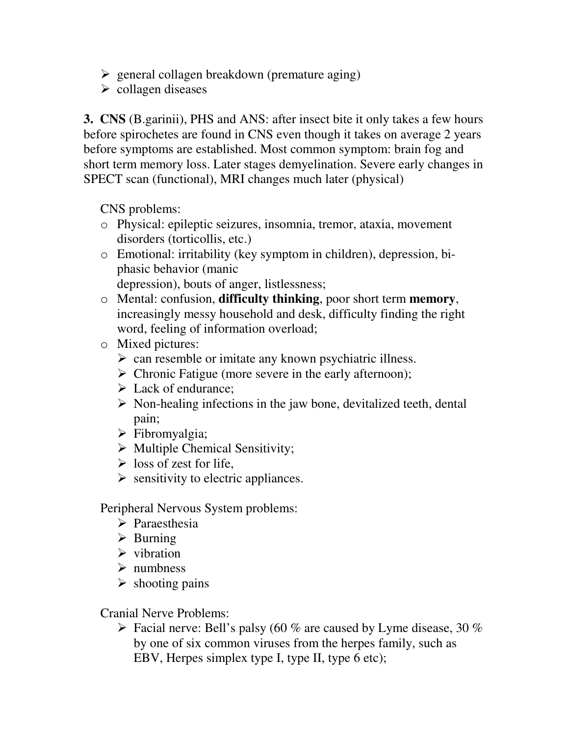- $\triangleright$  general collagen breakdown (premature aging)
- $\triangleright$  collagen diseases

**3. CNS** (B.garinii), PHS and ANS: after insect bite it only takes a few hours before spirochetes are found in CNS even though it takes on average 2 years before symptoms are established. Most common symptom: brain fog and short term memory loss. Later stages demyelination. Severe early changes in SPECT scan (functional), MRI changes much later (physical)

CNS problems:

- o Physical: epileptic seizures, insomnia, tremor, ataxia, movement disorders (torticollis, etc.)
- o Emotional: irritability (key symptom in children), depression, biphasic behavior (manic depression), bouts of anger, listlessness;
- o Mental: confusion, **difficulty thinking**, poor short term **memory**, increasingly messy household and desk, difficulty finding the right word, feeling of information overload;
- o Mixed pictures:
	- $\triangleright$  can resemble or imitate any known psychiatric illness.
	- $\triangleright$  Chronic Fatigue (more severe in the early afternoon);
	- $\triangleright$  Lack of endurance;
	- $\triangleright$  Non-healing infections in the jaw bone, devitalized teeth, dental pain;
	- > Fibromyalgia;
	- $\triangleright$  Multiple Chemical Sensitivity;
	- $\triangleright$  loss of zest for life,
	- $\triangleright$  sensitivity to electric appliances.

Peripheral Nervous System problems:

- $\triangleright$  Paraesthesia
- $\triangleright$  Burning
- $\triangleright$  vibration
- $\triangleright$  numbness
- $\triangleright$  shooting pains

Cranial Nerve Problems:

 $\triangleright$  Facial nerve: Bell's palsy (60 % are caused by Lyme disease, 30 % by one of six common viruses from the herpes family, such as EBV, Herpes simplex type I, type II, type 6 etc);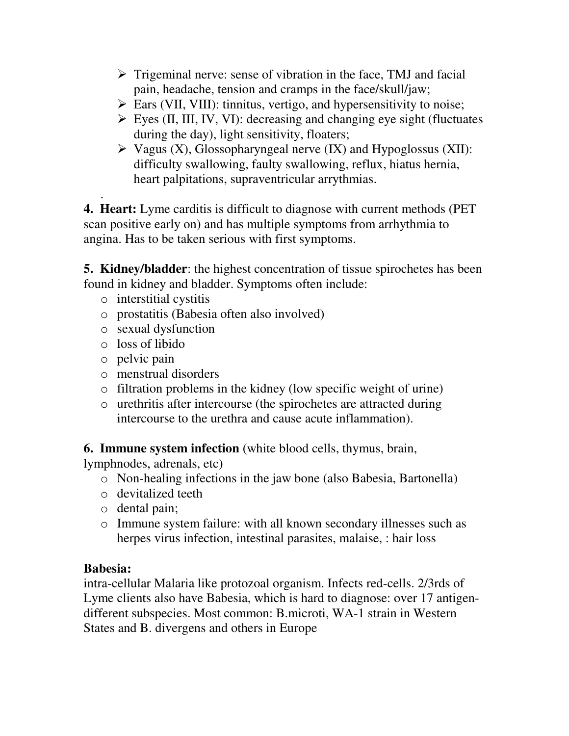- $\triangleright$  Trigeminal nerve: sense of vibration in the face, TMJ and facial pain, headache, tension and cramps in the face/skull/jaw;
- $\triangleright$  Ears (VII, VIII): tinnitus, vertigo, and hypersensitivity to noise;
- $\triangleright$  Eyes (II, III, IV, VI): decreasing and changing eye sight (fluctuates during the day), light sensitivity, floaters;
- $\triangleright$  Vagus (X), Glossopharyngeal nerve (IX) and Hypoglossus (XII): difficulty swallowing, faulty swallowing, reflux, hiatus hernia, heart palpitations, supraventricular arrythmias.

. **4. Heart:** Lyme carditis is difficult to diagnose with current methods (PET scan positive early on) and has multiple symptoms from arrhythmia to angina. Has to be taken serious with first symptoms.

**5. Kidney/bladder**: the highest concentration of tissue spirochetes has been found in kidney and bladder. Symptoms often include:

- o interstitial cystitis
- o prostatitis (Babesia often also involved)
- o sexual dysfunction
- o loss of libido
- o pelvic pain
- o menstrual disorders
- o filtration problems in the kidney (low specific weight of urine)
- o urethritis after intercourse (the spirochetes are attracted during intercourse to the urethra and cause acute inflammation).

**6. Immune system infection** (white blood cells, thymus, brain,

lymphnodes, adrenals, etc)

- o Non-healing infections in the jaw bone (also Babesia, Bartonella)
- o devitalized teeth
- o dental pain;
- o Immune system failure: with all known secondary illnesses such as herpes virus infection, intestinal parasites, malaise, : hair loss

# **Babesia:**

intra-cellular Malaria like protozoal organism. Infects red-cells. 2/3rds of Lyme clients also have Babesia, which is hard to diagnose: over 17 antigendifferent subspecies. Most common: B.microti, WA-1 strain in Western States and B. divergens and others in Europe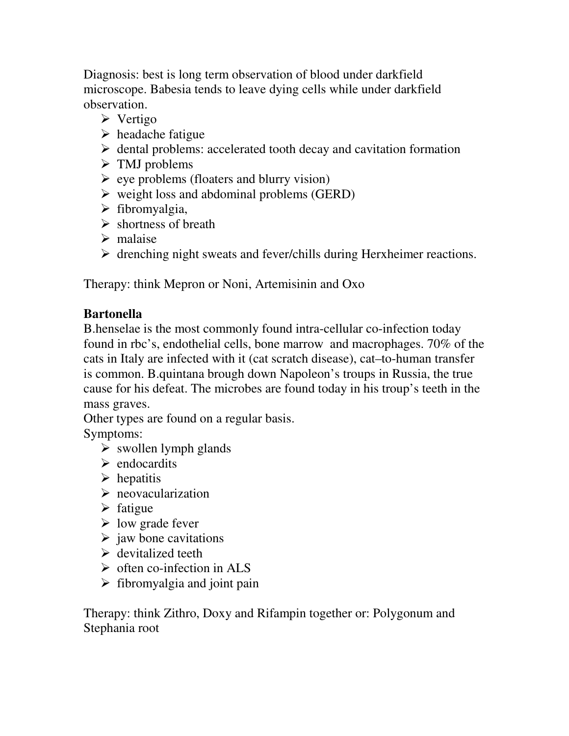Diagnosis: best is long term observation of blood under darkfield microscope. Babesia tends to leave dying cells while under darkfield observation.

- $\triangleright$  Vertigo
- $\triangleright$  headache fatigue
- $\triangleright$  dental problems: accelerated tooth decay and cavitation formation
- $\triangleright$  TMJ problems
- $\triangleright$  eye problems (floaters and blurry vision)
- $\triangleright$  weight loss and abdominal problems (GERD)
- $\triangleright$  fibromyalgia,
- $\triangleright$  shortness of breath
- $\triangleright$  malaise
- $\triangleright$  drenching night sweats and fever/chills during Herxheimer reactions.

Therapy: think Mepron or Noni, Artemisinin and Oxo

# **Bartonella**

B.henselae is the most commonly found intra-cellular co-infection today found in rbc's, endothelial cells, bone marrow and macrophages. 70% of the cats in Italy are infected with it (cat scratch disease), cat–to-human transfer is common. B.quintana brough down Napoleon's troups in Russia, the true cause for his defeat. The microbes are found today in his troup's teeth in the mass graves.

Other types are found on a regular basis.

Symptoms:

- $\triangleright$  swollen lymph glands
- $\triangleright$  endocardits
- $\triangleright$  hepatitis
- $\triangleright$  neovacularization
- $\triangleright$  fatigue
- $\triangleright$  low grade fever
- $\triangleright$  jaw bone cavitations
- $\triangleright$  devitalized teeth
- $\triangleright$  often co-infection in ALS
- $\triangleright$  fibromyalgia and joint pain

Therapy: think Zithro, Doxy and Rifampin together or: Polygonum and Stephania root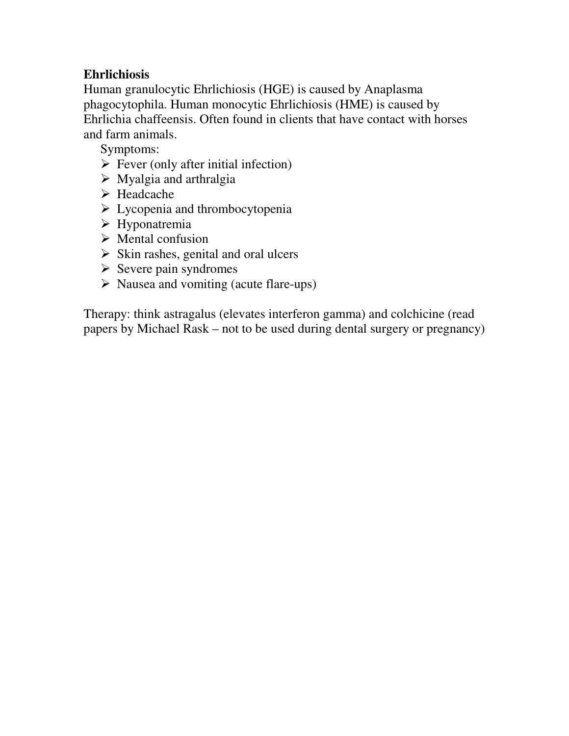# **Ehrlichiosis**

Human granulocytic Ehrlichiosis (HGE) is caused by Anaplasma phagocytophila. Human monocytic Ehrlichiosis (HME) is caused by Ehrlichia chaffeensis. Often found in clients that have contact with horses and farm animals.

Symptoms:

- $\triangleright$  Fever (only after initial infection)
- $\triangleright$  Myalgia and arthralgia
- Headcache
- $\triangleright$  Lycopenia and thrombocytopenia
- $\triangleright$  Hyponatremia
- $\triangleright$  Mental confusion
- $\triangleright$  Skin rashes, genital and oral ulcers
- $\triangleright$  Severe pain syndromes
- $\triangleright$  Nausea and vomiting (acute flare-ups)

Therapy: think astragalus (elevates interferon gamma) and colchicine (read papers by Michael Rask – not to be used during dental surgery or pregnancy)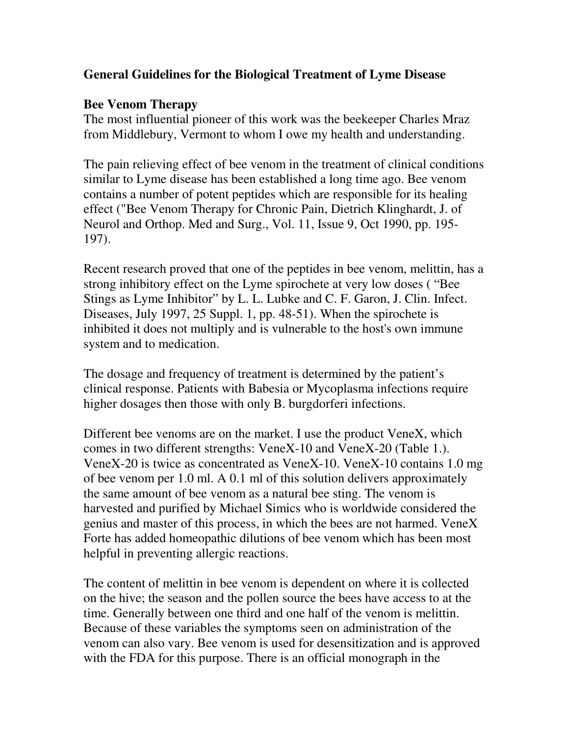### **General Guidelines for the Biological Treatment of Lyme Disease**

### **Bee Venom Therapy**

The most influential pioneer of this work was the beekeeper Charles Mraz from Middlebury, Vermont to whom I owe my health and understanding.

The pain relieving effect of bee venom in the treatment of clinical conditions similar to Lyme disease has been established a long time ago. Bee venom contains a number of potent peptides which are responsible for its healing effect ("Bee Venom Therapy for Chronic Pain, Dietrich Klinghardt, J. of Neurol and Orthop. Med and Surg., Vol. 11, Issue 9, Oct 1990, pp. 195- 197).

Recent research proved that one of the peptides in bee venom, melittin, has a strong inhibitory effect on the Lyme spirochete at very low doses ( "Bee Stings as Lyme Inhibitor" by L. L. Lubke and C. F. Garon, J. Clin. Infect. Diseases, July 1997, 25 Suppl. 1, pp. 48-51). When the spirochete is inhibited it does not multiply and is vulnerable to the host's own immune system and to medication.

The dosage and frequency of treatment is determined by the patient's clinical response. Patients with Babesia or Mycoplasma infections require higher dosages then those with only B. burgdorferi infections.

Different bee venoms are on the market. I use the product VeneX, which comes in two different strengths: VeneX-10 and VeneX-20 (Table 1.). VeneX-20 is twice as concentrated as VeneX-10. VeneX-10 contains 1.0 mg of bee venom per 1.0 ml. A 0.1 ml of this solution delivers approximately the same amount of bee venom as a natural bee sting. The venom is harvested and purified by Michael Simics who is worldwide considered the genius and master of this process, in which the bees are not harmed. VeneX Forte has added homeopathic dilutions of bee venom which has been most helpful in preventing allergic reactions.

The content of melittin in bee venom is dependent on where it is collected on the hive; the season and the pollen source the bees have access to at the time. Generally between one third and one half of the venom is melittin. Because of these variables the symptoms seen on administration of the venom can also vary. Bee venom is used for desensitization and is approved with the FDA for this purpose. There is an official monograph in the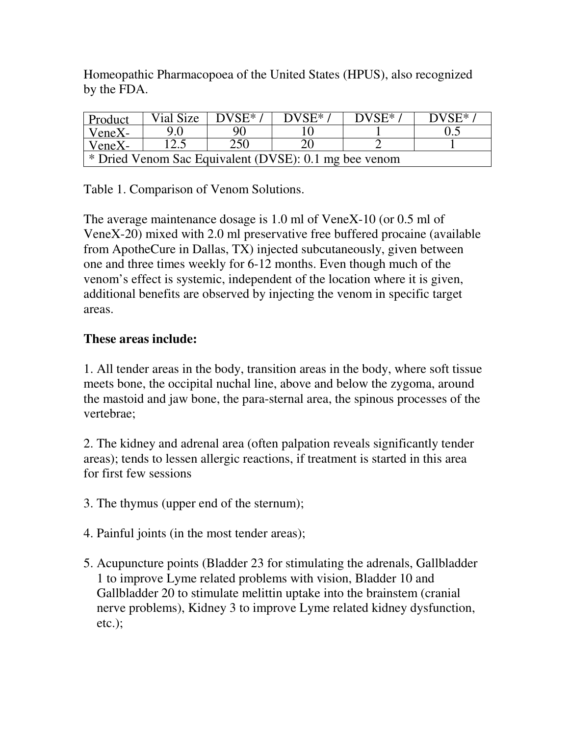Homeopathic Pharmacopoea of the United States (HPUS), also recognized by the FDA.

| Product                                               | Vial Size | $DVSE^*$ | $DVSE^*$ | DVSE* | $DVSE^*$ |
|-------------------------------------------------------|-----------|----------|----------|-------|----------|
| VeneX-                                                | 90        | 90       |          |       |          |
| VeneX-                                                | 12.5      | 250      |          |       |          |
| * Dried Venom Sac Equivalent (DVSE): 0.1 mg bee venom |           |          |          |       |          |

Table 1. Comparison of Venom Solutions.

The average maintenance dosage is 1.0 ml of VeneX-10 (or 0.5 ml of VeneX-20) mixed with 2.0 ml preservative free buffered procaine (available from ApotheCure in Dallas, TX) injected subcutaneously, given between one and three times weekly for 6-12 months. Even though much of the venom's effect is systemic, independent of the location where it is given, additional benefits are observed by injecting the venom in specific target areas.

### **These areas include:**

1. All tender areas in the body, transition areas in the body, where soft tissue meets bone, the occipital nuchal line, above and below the zygoma, around the mastoid and jaw bone, the para-sternal area, the spinous processes of the vertebrae;

2. The kidney and adrenal area (often palpation reveals significantly tender areas); tends to lessen allergic reactions, if treatment is started in this area for first few sessions

3. The thymus (upper end of the sternum);

4. Painful joints (in the most tender areas);

5. Acupuncture points (Bladder 23 for stimulating the adrenals, Gallbladder 1 to improve Lyme related problems with vision, Bladder 10 and Gallbladder 20 to stimulate melittin uptake into the brainstem (cranial nerve problems), Kidney 3 to improve Lyme related kidney dysfunction, etc.);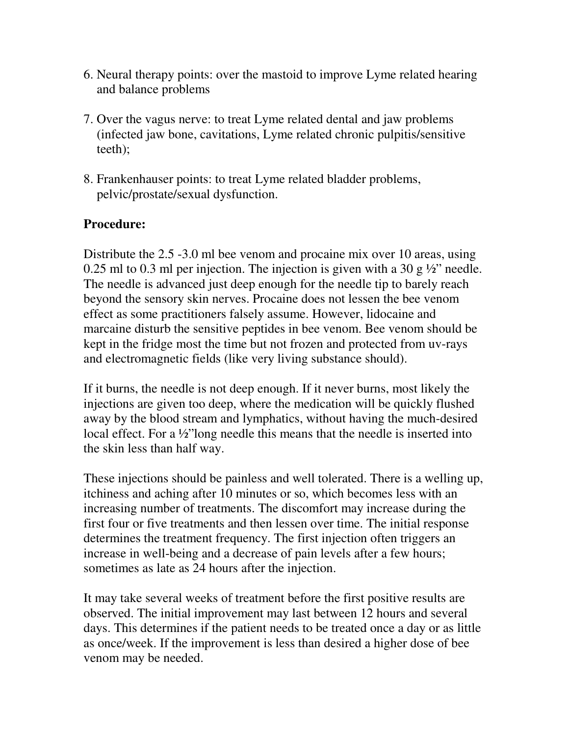- 6. Neural therapy points: over the mastoid to improve Lyme related hearing and balance problems
- 7. Over the vagus nerve: to treat Lyme related dental and jaw problems (infected jaw bone, cavitations, Lyme related chronic pulpitis/sensitive teeth);
- 8. Frankenhauser points: to treat Lyme related bladder problems, pelvic/prostate/sexual dysfunction.

# **Procedure:**

Distribute the 2.5 -3.0 ml bee venom and procaine mix over 10 areas, using 0.25 ml to 0.3 ml per injection. The injection is given with a 30 g  $\frac{1}{2}$  needle. The needle is advanced just deep enough for the needle tip to barely reach beyond the sensory skin nerves. Procaine does not lessen the bee venom effect as some practitioners falsely assume. However, lidocaine and marcaine disturb the sensitive peptides in bee venom. Bee venom should be kept in the fridge most the time but not frozen and protected from uv-rays and electromagnetic fields (like very living substance should).

If it burns, the needle is not deep enough. If it never burns, most likely the injections are given too deep, where the medication will be quickly flushed away by the blood stream and lymphatics, without having the much-desired local effect. For a ½"long needle this means that the needle is inserted into the skin less than half way.

These injections should be painless and well tolerated. There is a welling up, itchiness and aching after 10 minutes or so, which becomes less with an increasing number of treatments. The discomfort may increase during the first four or five treatments and then lessen over time. The initial response determines the treatment frequency. The first injection often triggers an increase in well-being and a decrease of pain levels after a few hours; sometimes as late as 24 hours after the injection.

It may take several weeks of treatment before the first positive results are observed. The initial improvement may last between 12 hours and several days. This determines if the patient needs to be treated once a day or as little as once/week. If the improvement is less than desired a higher dose of bee venom may be needed.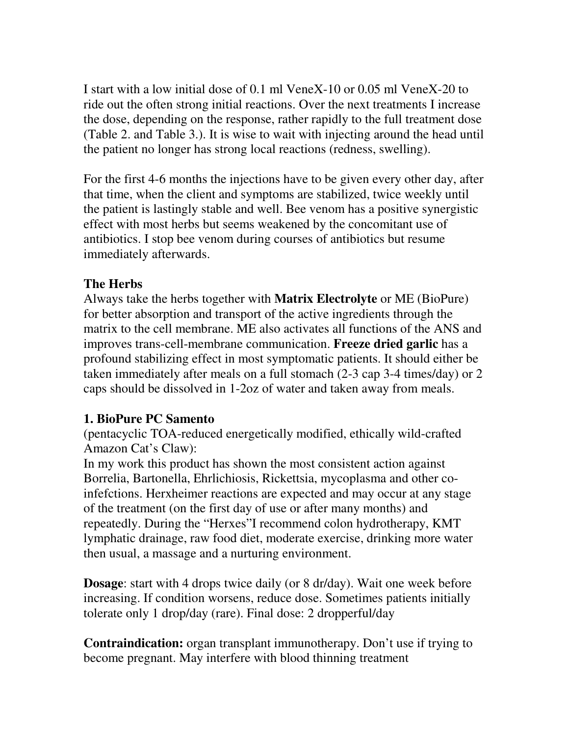I start with a low initial dose of 0.1 ml VeneX-10 or 0.05 ml VeneX-20 to ride out the often strong initial reactions. Over the next treatments I increase the dose, depending on the response, rather rapidly to the full treatment dose (Table 2. and Table 3.). It is wise to wait with injecting around the head until the patient no longer has strong local reactions (redness, swelling).

For the first 4-6 months the injections have to be given every other day, after that time, when the client and symptoms are stabilized, twice weekly until the patient is lastingly stable and well. Bee venom has a positive synergistic effect with most herbs but seems weakened by the concomitant use of antibiotics. I stop bee venom during courses of antibiotics but resume immediately afterwards.

#### **The Herbs**

Always take the herbs together with **Matrix Electrolyte** or ME (BioPure) for better absorption and transport of the active ingredients through the matrix to the cell membrane. ME also activates all functions of the ANS and improves trans-cell-membrane communication. **Freeze dried garlic** has a profound stabilizing effect in most symptomatic patients. It should either be taken immediately after meals on a full stomach (2-3 cap 3-4 times/day) or 2 caps should be dissolved in 1-2oz of water and taken away from meals.

# **1. BioPure PC Samento**

(pentacyclic TOA-reduced energetically modified, ethically wild-crafted Amazon Cat's Claw):

In my work this product has shown the most consistent action against Borrelia, Bartonella, Ehrlichiosis, Rickettsia, mycoplasma and other coinfefctions. Herxheimer reactions are expected and may occur at any stage of the treatment (on the first day of use or after many months) and repeatedly. During the "Herxes"I recommend colon hydrotherapy, KMT lymphatic drainage, raw food diet, moderate exercise, drinking more water then usual, a massage and a nurturing environment.

**Dosage:** start with 4 drops twice daily (or 8 dr/day). Wait one week before increasing. If condition worsens, reduce dose. Sometimes patients initially tolerate only 1 drop/day (rare). Final dose: 2 dropperful/day

**Contraindication:** organ transplant immunotherapy. Don't use if trying to become pregnant. May interfere with blood thinning treatment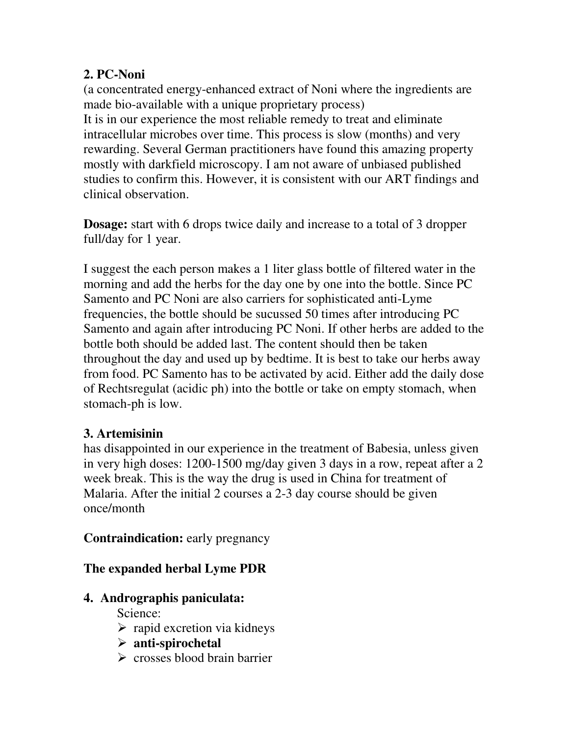# **2. PC-Noni**

(a concentrated energy-enhanced extract of Noni where the ingredients are made bio-available with a unique proprietary process) It is in our experience the most reliable remedy to treat and eliminate intracellular microbes over time. This process is slow (months) and very rewarding. Several German practitioners have found this amazing property mostly with darkfield microscopy. I am not aware of unbiased published studies to confirm this. However, it is consistent with our ART findings and clinical observation.

**Dosage:** start with 6 drops twice daily and increase to a total of 3 dropper full/day for 1 year.

I suggest the each person makes a 1 liter glass bottle of filtered water in the morning and add the herbs for the day one by one into the bottle. Since PC Samento and PC Noni are also carriers for sophisticated anti-Lyme frequencies, the bottle should be sucussed 50 times after introducing PC Samento and again after introducing PC Noni. If other herbs are added to the bottle both should be added last. The content should then be taken throughout the day and used up by bedtime. It is best to take our herbs away from food. PC Samento has to be activated by acid. Either add the daily dose of Rechtsregulat (acidic ph) into the bottle or take on empty stomach, when stomach-ph is low.

# **3. Artemisinin**

has disappointed in our experience in the treatment of Babesia, unless given in very high doses: 1200-1500 mg/day given 3 days in a row, repeat after a 2 week break. This is the way the drug is used in China for treatment of Malaria. After the initial 2 courses a 2-3 day course should be given once/month

**Contraindication:** early pregnancy

# **The expanded herbal Lyme PDR**

# **4. Andrographis paniculata:**

Science:

- $\triangleright$  rapid excretion via kidneys
- **anti-spirochetal**
- $\triangleright$  crosses blood brain barrier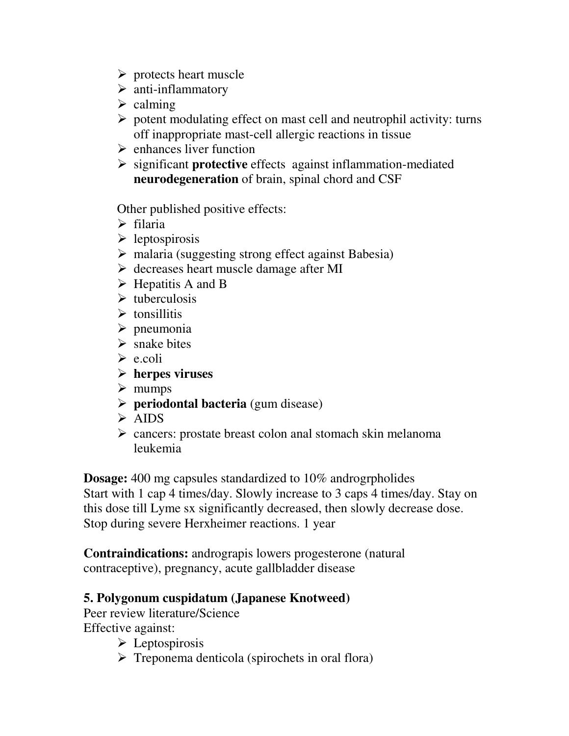- $\triangleright$  protects heart muscle
- $\triangleright$  anti-inflammatory
- $\triangleright$  calming
- $\triangleright$  potent modulating effect on mast cell and neutrophil activity: turns off inappropriate mast-cell allergic reactions in tissue
- $\triangleright$  enhances liver function
- significant **protective** effects against inflammation-mediated **neurodegeneration** of brain, spinal chord and CSF

Other published positive effects:

- $\triangleright$  filaria
- $\triangleright$  leptospirosis
- malaria (suggesting strong effect against Babesia)
- $\triangleright$  decreases heart muscle damage after MI
- $\triangleright$  Hepatitis A and B
- $\triangleright$  tuberculosis
- $\triangleright$  tonsillitis
- $\triangleright$  pneumonia
- $\triangleright$  snake bites
- $\triangleright$  e.coli
- **herpes viruses**
- $\triangleright$  mumps
- **Periodontal bacteria** (gum disease)
- > AIDS
- $\triangleright$  cancers: prostate breast colon anal stomach skin melanoma leukemia

**Dosage:** 400 mg capsules standardized to 10% androgrpholides Start with 1 cap 4 times/day. Slowly increase to 3 caps 4 times/day. Stay on this dose till Lyme sx significantly decreased, then slowly decrease dose. Stop during severe Herxheimer reactions. 1 year

**Contraindications:** andrograpis lowers progesterone (natural contraceptive), pregnancy, acute gallbladder disease

# **5. Polygonum cuspidatum (Japanese Knotweed)**

Peer review literature/Science Effective against:

- $\triangleright$  Leptospirosis
- $\triangleright$  Treponema denticola (spirochets in oral flora)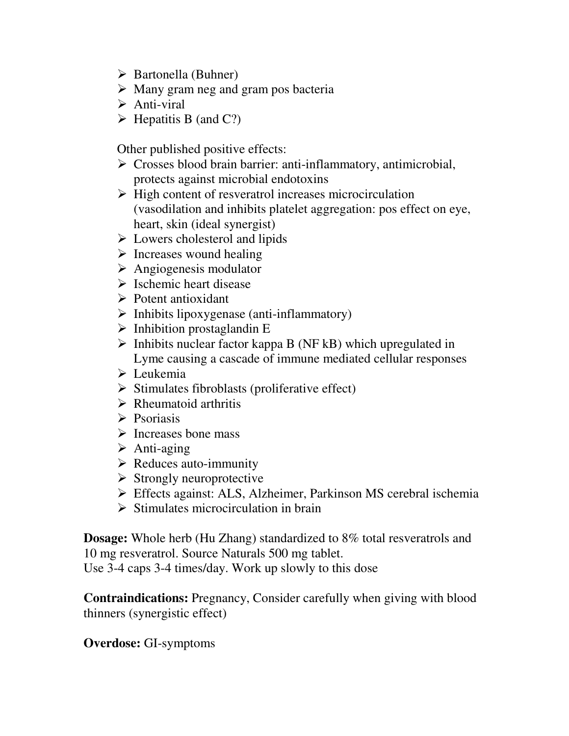- $\triangleright$  Bartonella (Buhner)
- $\triangleright$  Many gram neg and gram pos bacteria
- $\triangleright$  Anti-viral
- $\triangleright$  Hepatitis B (and C?)

Other published positive effects:

- $\triangleright$  Crosses blood brain barrier: anti-inflammatory, antimicrobial, protects against microbial endotoxins
- $\triangleright$  High content of resveratrol increases microcirculation (vasodilation and inhibits platelet aggregation: pos effect on eye, heart, skin (ideal synergist)
- $\triangleright$  Lowers cholesterol and lipids
- $\triangleright$  Increases wound healing
- Angiogenesis modulator
- $\triangleright$  Ischemic heart disease
- $\triangleright$  Potent antioxidant
- $\triangleright$  Inhibits lipoxygenase (anti-inflammatory)
- $\triangleright$  Inhibition prostaglandin E
- $\triangleright$  Inhibits nuclear factor kappa B (NF kB) which upregulated in Lyme causing a cascade of immune mediated cellular responses
- $\triangleright$  Leukemia
- $\triangleright$  Stimulates fibroblasts (proliferative effect)
- $\triangleright$  Rheumatoid arthritis
- $\triangleright$  Psoriasis
- $\triangleright$  Increases bone mass
- $\triangleright$  Anti-aging
- $\triangleright$  Reduces auto-immunity
- $\triangleright$  Strongly neuroprotective
- Effects against: ALS, Alzheimer, Parkinson MS cerebral ischemia
- $\triangleright$  Stimulates microcirculation in brain

**Dosage:** Whole herb (Hu Zhang) standardized to 8% total resveratrols and 10 mg resveratrol. Source Naturals 500 mg tablet.

Use 3-4 caps 3-4 times/day. Work up slowly to this dose

**Contraindications:** Pregnancy, Consider carefully when giving with blood thinners (synergistic effect)

# **Overdose:** GI-symptoms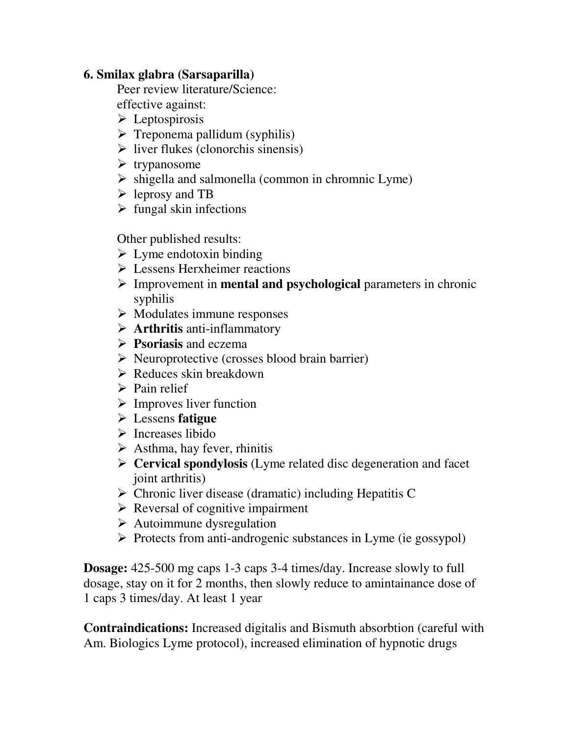### **6. Smilax glabra (Sarsaparilla)**

Peer review literature/Science:

effective against:

- $\triangleright$  Leptospirosis
- $\triangleright$  Treponema pallidum (syphilis)
- $\triangleright$  liver flukes (clonorchis sinensis)
- $\triangleright$  trypanosome
- $\triangleright$  shigella and salmonella (common in chromnic Lyme)
- leprosy and TB
- $\triangleright$  fungal skin infections

Other published results:

- $\triangleright$  Lyme endotoxin binding
- Lessens Herxheimer reactions
- Improvement in **mental and psychological** parameters in chronic syphilis
- $\triangleright$  Modulates immune responses
- **Arthritis** anti-inflammatory
- **Psoriasis** and eczema
- $\triangleright$  Neuroprotective (crosses blood brain barrier)
- $\triangleright$  Reduces skin breakdown
- $\triangleright$  Pain relief
- $\triangleright$  Improves liver function
- Lessens **fatigue**
- $\triangleright$  Increases libido
- $\triangleright$  Asthma, hay fever, rhinitis
- **Cervical spondylosis** (Lyme related disc degeneration and facet joint arthritis)
- $\triangleright$  Chronic liver disease (dramatic) including Hepatitis C
- $\triangleright$  Reversal of cognitive impairment
- $\triangleright$  Autoimmune dysregulation
- $\triangleright$  Protects from anti-androgenic substances in Lyme (ie gossypol)

**Dosage:** 425-500 mg caps 1-3 caps 3-4 times/day. Increase slowly to full dosage, stay on it for 2 months, then slowly reduce to amintainance dose of 1 caps 3 times/day. At least 1 year

**Contraindications:** Increased digitalis and Bismuth absorbtion (careful with Am. Biologics Lyme protocol), increased elimination of hypnotic drugs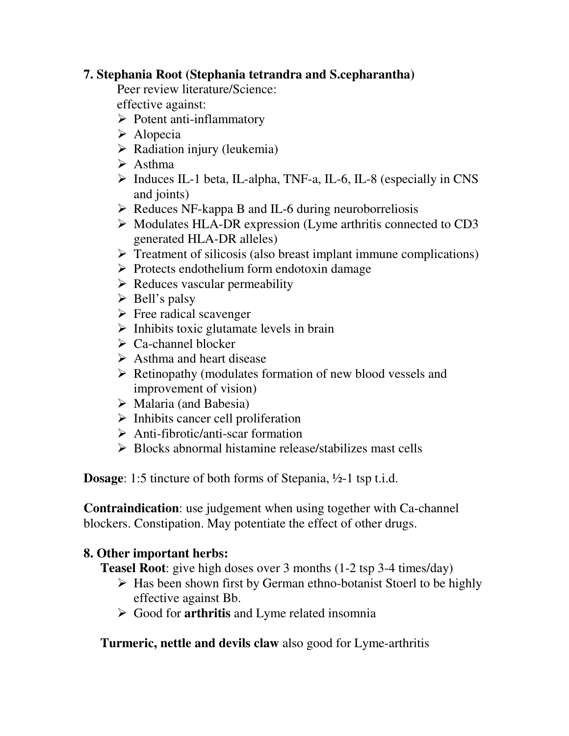# **7. Stephania Root (Stephania tetrandra and S.cepharantha)**

Peer review literature/Science:

effective against:

- $\triangleright$  Potent anti-inflammatory
- $\triangleright$  Alopecia
- $\triangleright$  Radiation injury (leukemia)
- $\triangleright$  Asthma
- Induces IL-1 beta, IL-alpha, TNF-a, IL-6, IL-8 (especially in CNS and joints)
- $\triangleright$  Reduces NF-kappa B and IL-6 during neuroborreliosis
- $\triangleright$  Modulates HLA-DR expression (Lyme arthritis connected to CD3 generated HLA-DR alleles)
- $\triangleright$  Treatment of silicosis (also breast implant immune complications)
- $\triangleright$  Protects endothelium form endotoxin damage
- $\triangleright$  Reduces vascular permeability
- $\triangleright$  Bell's palsy
- $\triangleright$  Free radical scavenger
- $\triangleright$  Inhibits toxic glutamate levels in brain
- $\sum C_a$ -channel blocker
- $\triangleright$  Asthma and heart disease
- $\triangleright$  Retinopathy (modulates formation of new blood vessels and improvement of vision)
- $\triangleright$  Malaria (and Babesia)
- $\triangleright$  Inhibits cancer cell proliferation
- $\triangleright$  Anti-fibrotic/anti-scar formation
- $\triangleright$  Blocks abnormal histamine release/stabilizes mast cells

**Dosage**: 1:5 tincture of both forms of Stepania, ½-1 tsp t.i.d.

**Contraindication**: use judgement when using together with Ca-channel blockers. Constipation. May potentiate the effect of other drugs.

# **8. Other important herbs:**

**Teasel Root**: give high doses over 3 months (1-2 tsp 3-4 times/day)

- $\triangleright$  Has been shown first by German ethno-botanist Stoerl to be highly effective against Bb.
- Good for **arthritis** and Lyme related insomnia

**Turmeric, nettle and devils claw** also good for Lyme-arthritis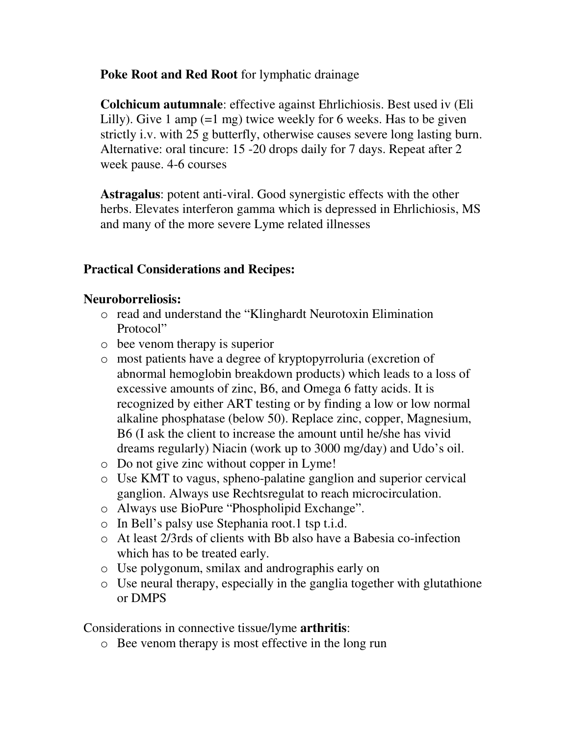**Poke Root and Red Root** for lymphatic drainage

**Colchicum autumnale**: effective against Ehrlichiosis. Best used iv (Eli Lilly). Give 1 amp (=1 mg) twice weekly for 6 weeks. Has to be given strictly i.v. with 25 g butterfly, otherwise causes severe long lasting burn. Alternative: oral tincure: 15 -20 drops daily for 7 days. Repeat after 2 week pause. 4-6 courses

**Astragalus**: potent anti-viral. Good synergistic effects with the other herbs. Elevates interferon gamma which is depressed in Ehrlichiosis, MS and many of the more severe Lyme related illnesses

# **Practical Considerations and Recipes:**

### **Neuroborreliosis:**

- o read and understand the "Klinghardt Neurotoxin Elimination Protocol"
- o bee venom therapy is superior
- o most patients have a degree of kryptopyrroluria (excretion of abnormal hemoglobin breakdown products) which leads to a loss of excessive amounts of zinc, B6, and Omega 6 fatty acids. It is recognized by either ART testing or by finding a low or low normal alkaline phosphatase (below 50). Replace zinc, copper, Magnesium, B6 (I ask the client to increase the amount until he/she has vivid dreams regularly) Niacin (work up to 3000 mg/day) and Udo's oil.
- o Do not give zinc without copper in Lyme!
- o Use KMT to vagus, spheno-palatine ganglion and superior cervical ganglion. Always use Rechtsregulat to reach microcirculation.
- o Always use BioPure "Phospholipid Exchange".
- o In Bell's palsy use Stephania root.1 tsp t.i.d.
- o At least 2/3rds of clients with Bb also have a Babesia co-infection which has to be treated early.
- o Use polygonum, smilax and andrographis early on
- o Use neural therapy, especially in the ganglia together with glutathione or DMPS

Considerations in connective tissue/lyme **arthritis**:

o Bee venom therapy is most effective in the long run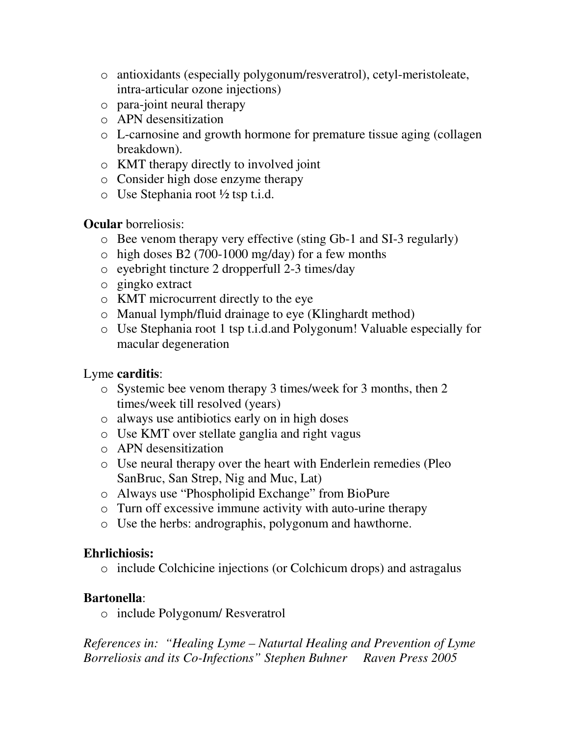- o antioxidants (especially polygonum/resveratrol), cetyl-meristoleate, intra-articular ozone injections)
- o para-joint neural therapy
- o APN desensitization
- o L-carnosine and growth hormone for premature tissue aging (collagen breakdown).
- o KMT therapy directly to involved joint
- o Consider high dose enzyme therapy
- $\circ$  Use Stephania root ½ tsp t.i.d.

**Ocular** borreliosis:

- o Bee venom therapy very effective (sting Gb-1 and SI-3 regularly)
- $\circ$  high doses B2 (700-1000 mg/day) for a few months
- o eyebright tincture 2 dropperfull 2-3 times/day
- o gingko extract
- o KMT microcurrent directly to the eye
- o Manual lymph/fluid drainage to eye (Klinghardt method)
- o Use Stephania root 1 tsp t.i.d.and Polygonum! Valuable especially for macular degeneration

# Lyme **carditis**:

- o Systemic bee venom therapy 3 times/week for 3 months, then 2 times/week till resolved (years)
- o always use antibiotics early on in high doses
- o Use KMT over stellate ganglia and right vagus
- o APN desensitization
- o Use neural therapy over the heart with Enderlein remedies (Pleo SanBruc, San Strep, Nig and Muc, Lat)
- o Always use "Phospholipid Exchange" from BioPure
- o Turn off excessive immune activity with auto-urine therapy
- o Use the herbs: andrographis, polygonum and hawthorne.

# **Ehrlichiosis:**

o include Colchicine injections (or Colchicum drops) and astragalus

# **Bartonella**:

o include Polygonum/ Resveratrol

*References in: "Healing Lyme – Naturtal Healing and Prevention of Lyme Borreliosis and its Co-Infections" Stephen Buhner Raven Press 2005*